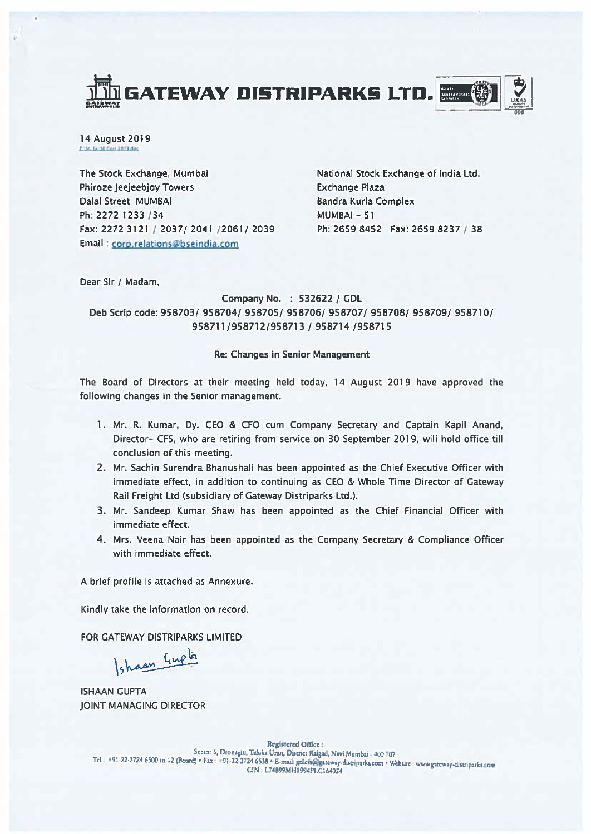



14 August 2019 2. St. La SE Corr 2019 day

The Stock Exchange, Mumbai Phiroze Jeejeebjoy Towers Dalal Street MUMBAI Ph: 2272 1233 / 34 Fax: 2272 3121 / 2037/2041 / 2061/2039 Email : corp.relatjons@bsejndja.com

National Stock Exchange of India Ltd, Exchange Plaza Bandra Kurla Complex MUMBAI - SI Ph: 2659 8452 Fax: 2659 8237 / 38

Dear Sir / Madam,

Company No, : 532622 / GDL Deb Scrip code: 958703/ 958704/958705/958706/958707/958708/958709/958710/ 958711/958712/958713 / 958714/958715

## Re: Changes In Senior Management

The Board of Directors at their meeting held today, 14 August 2019 have approved the following changes in the Senior management,

- 1, Mr, R, Kumar, Dy, CEO & CFO cum Company Secretary and Captain Kapil Anand, Director- CFS, who are retiring from service on 30 September 2019, will hold office till conclusion of this meeting,
- 2, Mr, Sachin Surendra Bhanushali has been appointed as the Chief Executive Officer with immediate effect, in addition to continuing as CEO & Whole Time Director of Gateway Rail Freight Ltd (subsidiary of Gateway Distriparks Ltd,),
- 3, Mr, Sandeep Kumar Shaw has been appointed as the Chief Financial Officer with immediate effect,
- 4, Mrs, Veena Nair has been appointed as the Company Secretary & Compliance Officer with immediate effect,

A brief profile is attached as Annexure,

Kindly take the information on record,

FOR GATEWAY DISTRIPARKS LIMITED

Ishaan Gupta

ISHAAN GUPTA JOINT MANAGING DIRECTOR

**Registered Office:** Sector 6, Dronagin, Taluka Uran, District Raigad, Navi Mumbai - 400 707 Tel : +91-22-2724 6500 to 12 (Board) · Fax : +91-22-2724 6538 · B-mail: gdlcfs@gateway-diatriparks.com · Website : www.gateway-diatriparks.com CIN 1,74899MIIJ994PI.CI64024